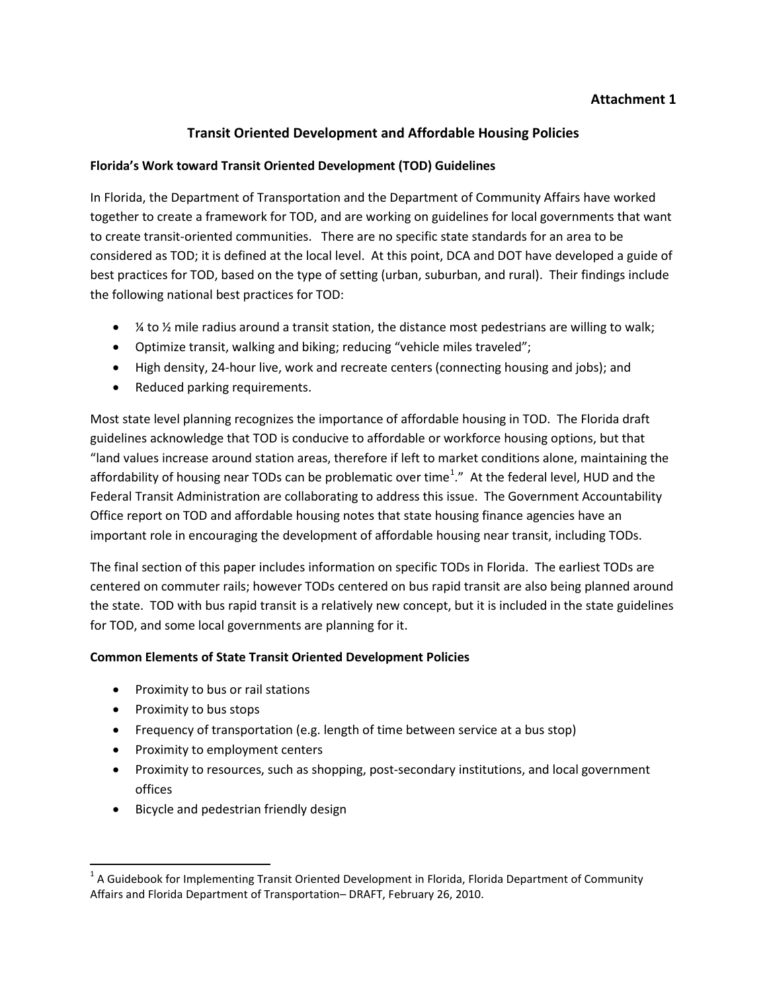# **Attachment 1**

# **Transit Oriented Development and Affordable Housing Policies**

### **Florida's Work toward Transit Oriented Development (TOD) Guidelines**

In Florida, the Department of Transportation and the Department of Community Affairs have worked together to create a framework for TOD, and are working on guidelines for local governments that want to create transit-oriented communities. There are no specific state standards for an area to be considered as TOD; it is defined at the local level. At this point, DCA and DOT have developed a guide of best practices for TOD, based on the type of setting (urban, suburban, and rural). Their findings include the following national best practices for TOD:

- $\frac{1}{4}$  to  $\frac{1}{2}$  mile radius around a transit station, the distance most pedestrians are willing to walk;
- Optimize transit, walking and biking; reducing "vehicle miles traveled";
- High density, 24-hour live, work and recreate centers (connecting housing and jobs); and
- Reduced parking requirements.

Most state level planning recognizes the importance of affordable housing in TOD. The Florida draft guidelines acknowledge that TOD is conducive to affordable or workforce housing options, but that "land values increase around station areas, therefore if left to market conditions alone, maintaining the affordability of housing near TODs can be problematic over time<sup>[1](#page-0-0)</sup>." At the federal level, HUD and the Federal Transit Administration are collaborating to address this issue. The Government Accountability Office report on TOD and affordable housing notes that state housing finance agencies have an important role in encouraging the development of affordable housing near transit, including TODs.

The final section of this paper includes information on specific TODs in Florida. The earliest TODs are centered on commuter rails; however TODs centered on bus rapid transit are also being planned around the state. TOD with bus rapid transit is a relatively new concept, but it is included in the state guidelines for TOD, and some local governments are planning for it.

## **Common Elements of State Transit Oriented Development Policies**

- Proximity to bus or rail stations
- Proximity to bus stops
- Frequency of transportation (e.g. length of time between service at a bus stop)
- Proximity to employment centers
- Proximity to resources, such as shopping, post-secondary institutions, and local government offices
- Bicycle and pedestrian friendly design

<span id="page-0-0"></span> $1$  A Guidebook for Implementing Transit Oriented Development in Florida, Florida Department of Community Affairs and Florida Department of Transportation– DRAFT, February 26, 2010.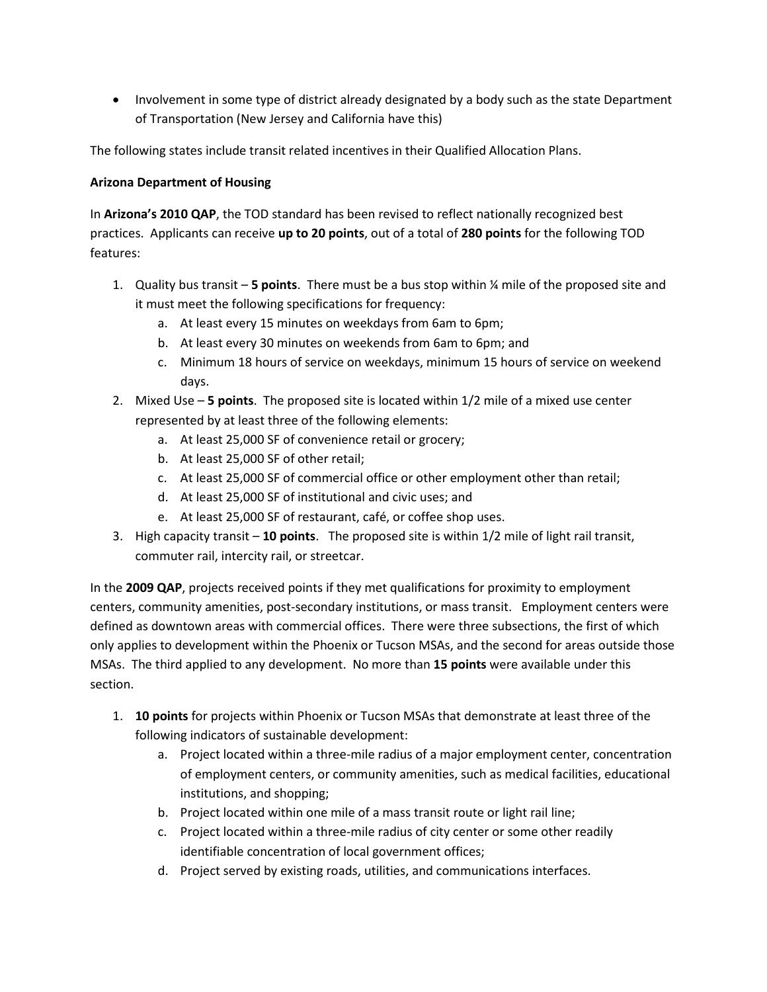• Involvement in some type of district already designated by a body such as the state Department of Transportation (New Jersey and California have this)

The following states include transit related incentives in their Qualified Allocation Plans.

# **Arizona Department of Housing**

In **Arizona's 2010 QAP**, the TOD standard has been revised to reflect nationally recognized best practices. Applicants can receive **up to 20 points**, out of a total of **280 points** for the following TOD features:

- 1. Quality bus transit **5 points**. There must be a bus stop within ¼ mile of the proposed site and it must meet the following specifications for frequency:
	- a. At least every 15 minutes on weekdays from 6am to 6pm;
	- b. At least every 30 minutes on weekends from 6am to 6pm; and
	- c. Minimum 18 hours of service on weekdays, minimum 15 hours of service on weekend days.
- 2. Mixed Use **5 points**. The proposed site is located within 1/2 mile of a mixed use center represented by at least three of the following elements:
	- a. At least 25,000 SF of convenience retail or grocery;
	- b. At least 25,000 SF of other retail;
	- c. At least 25,000 SF of commercial office or other employment other than retail;
	- d. At least 25,000 SF of institutional and civic uses; and
	- e. At least 25,000 SF of restaurant, café, or coffee shop uses.
- 3. High capacity transit **10 points**. The proposed site is within 1/2 mile of light rail transit, commuter rail, intercity rail, or streetcar.

In the **2009 QAP**, projects received points if they met qualifications for proximity to employment centers, community amenities, post-secondary institutions, or mass transit. Employment centers were defined as downtown areas with commercial offices. There were three subsections, the first of which only applies to development within the Phoenix or Tucson MSAs, and the second for areas outside those MSAs. The third applied to any development. No more than **15 points** were available under this section.

- 1. **10 points** for projects within Phoenix or Tucson MSAs that demonstrate at least three of the following indicators of sustainable development:
	- a. Project located within a three-mile radius of a major employment center, concentration of employment centers, or community amenities, such as medical facilities, educational institutions, and shopping;
	- b. Project located within one mile of a mass transit route or light rail line;
	- c. Project located within a three-mile radius of city center or some other readily identifiable concentration of local government offices;
	- d. Project served by existing roads, utilities, and communications interfaces.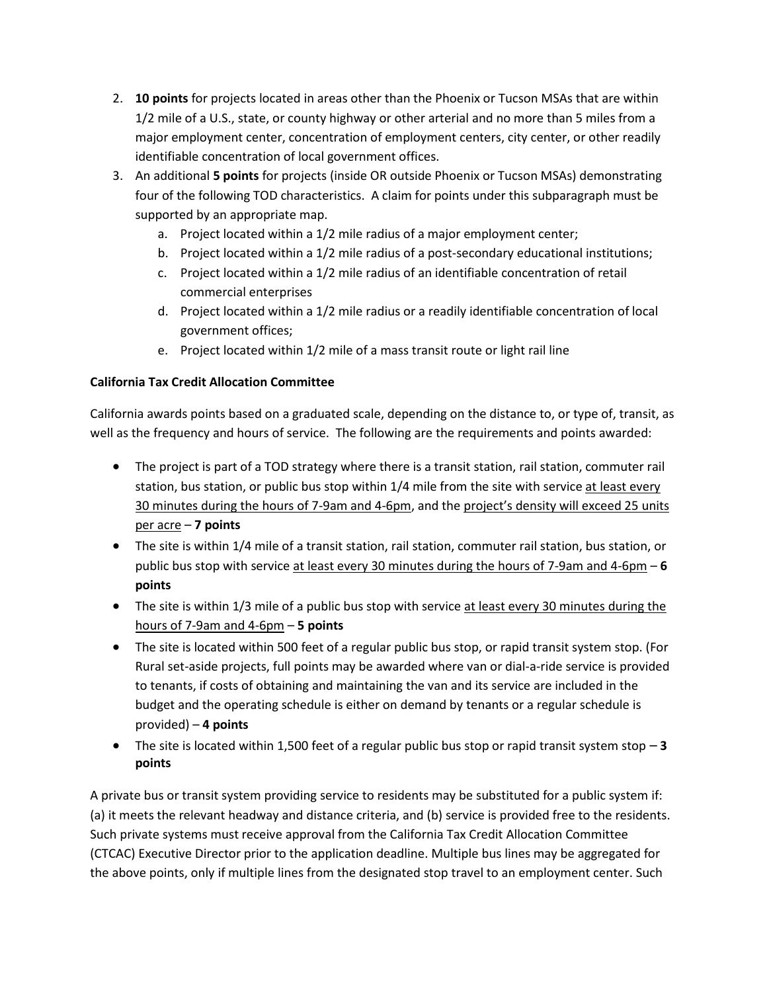- 2. **10 points** for projects located in areas other than the Phoenix or Tucson MSAs that are within 1/2 mile of a U.S., state, or county highway or other arterial and no more than 5 miles from a major employment center, concentration of employment centers, city center, or other readily identifiable concentration of local government offices.
- 3. An additional **5 points** for projects (inside OR outside Phoenix or Tucson MSAs) demonstrating four of the following TOD characteristics. A claim for points under this subparagraph must be supported by an appropriate map.
	- a. Project located within a 1/2 mile radius of a major employment center;
	- b. Project located within a 1/2 mile radius of a post-secondary educational institutions;
	- c. Project located within a 1/2 mile radius of an identifiable concentration of retail commercial enterprises
	- d. Project located within a 1/2 mile radius or a readily identifiable concentration of local government offices;
	- e. Project located within 1/2 mile of a mass transit route or light rail line

## **California Tax Credit Allocation Committee**

California awards points based on a graduated scale, depending on the distance to, or type of, transit, as well as the frequency and hours of service. The following are the requirements and points awarded:

- The project is part of a TOD strategy where there is a transit station, rail station, commuter rail station, bus station, or public bus stop within 1/4 mile from the site with service at least every 30 minutes during the hours of 7-9am and 4-6pm, and the project's density will exceed 25 units per acre – **7 points**
- The site is within 1/4 mile of a transit station, rail station, commuter rail station, bus station, or public bus stop with service at least every 30 minutes during the hours of 7-9am and 4-6pm – **6 points**
- The site is within 1/3 mile of a public bus stop with service at least every 30 minutes during the hours of 7-9am and 4-6pm – **5 points**
- The site is located within 500 feet of a regular public bus stop, or rapid transit system stop. (For Rural set-aside projects, full points may be awarded where van or dial-a-ride service is provided to tenants, if costs of obtaining and maintaining the van and its service are included in the budget and the operating schedule is either on demand by tenants or a regular schedule is provided) – **4 points**
- The site is located within 1,500 feet of a regular public bus stop or rapid transit system stop **3 points**

A private bus or transit system providing service to residents may be substituted for a public system if: (a) it meets the relevant headway and distance criteria, and (b) service is provided free to the residents. Such private systems must receive approval from the California Tax Credit Allocation Committee (CTCAC) Executive Director prior to the application deadline. Multiple bus lines may be aggregated for the above points, only if multiple lines from the designated stop travel to an employment center. Such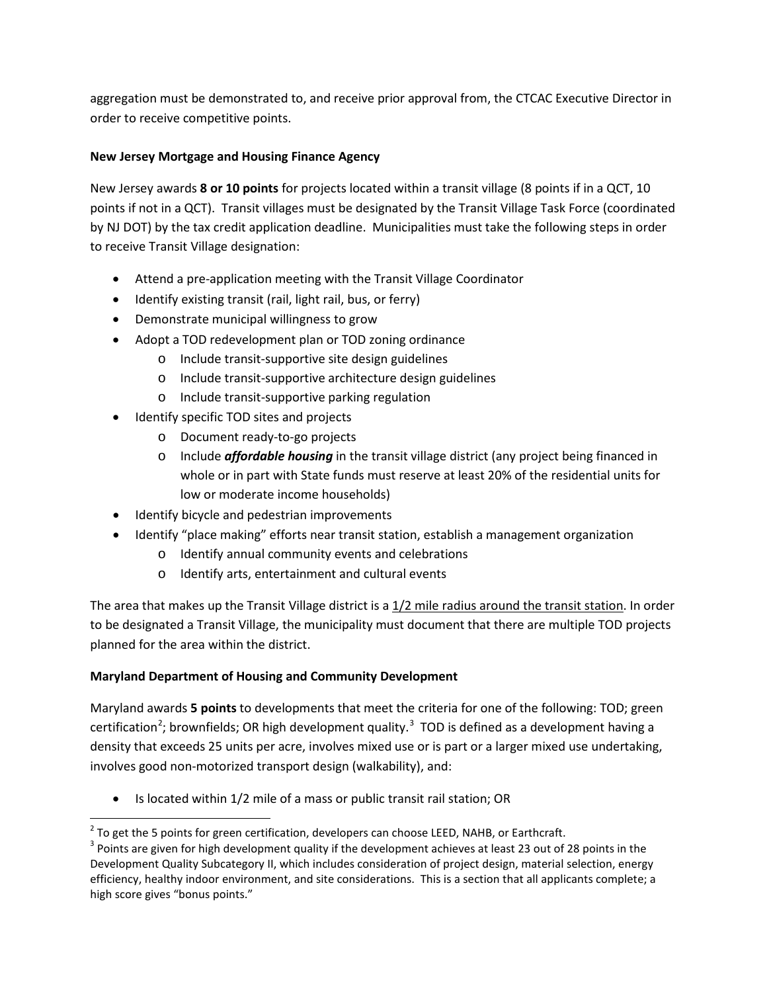aggregation must be demonstrated to, and receive prior approval from, the CTCAC Executive Director in order to receive competitive points.

## **New Jersey Mortgage and Housing Finance Agency**

New Jersey awards **8 or 10 points** for projects located within a transit village (8 points if in a QCT, 10 points if not in a QCT). Transit villages must be designated by the Transit Village Task Force (coordinated by NJ DOT) by the tax credit application deadline. Municipalities must take the following steps in order to receive Transit Village designation:

- Attend a pre-application meeting with the Transit Village Coordinator
- Identify existing transit (rail, light rail, bus, or ferry)
- Demonstrate municipal willingness to grow
- Adopt a TOD redevelopment plan or TOD zoning ordinance
	- o Include transit-supportive site design guidelines
	- o Include transit-supportive architecture design guidelines
	- o Include transit-supportive parking regulation
- Identify specific TOD sites and projects
	- o Document ready-to-go projects
	- o Include *affordable housing* in the transit village district (any project being financed in whole or in part with State funds must reserve at least 20% of the residential units for low or moderate income households)
- Identify bicycle and pedestrian improvements
- Identify "place making" efforts near transit station, establish a management organization
	- o Identify annual community events and celebrations
	- o Identify arts, entertainment and cultural events

The area that makes up the Transit Village district is a 1/2 mile radius around the transit station. In order to be designated a Transit Village, the municipality must document that there are multiple TOD projects planned for the area within the district.

# **Maryland Department of Housing and Community Development**

Maryland awards **5 points** to developments that meet the criteria for one of the following: TOD; green certification<sup>[2](#page-3-0)</sup>; brownfields; OR high development quality.<sup>[3](#page-3-1)</sup> TOD is defined as a development having a density that exceeds 25 units per acre, involves mixed use or is part or a larger mixed use undertaking, involves good non-motorized transport design (walkability), and:

Is located within 1/2 mile of a mass or public transit rail station; OR

<span id="page-3-0"></span> $2$  To get the 5 points for green certification, developers can choose LEED, NAHB, or Earthcraft.

<span id="page-3-1"></span><sup>&</sup>lt;sup>3</sup> Points are given for high development quality if the development achieves at least 23 out of 28 points in the Development Quality Subcategory II, which includes consideration of project design, material selection, energy efficiency, healthy indoor environment, and site considerations. This is a section that all applicants complete; a high score gives "bonus points."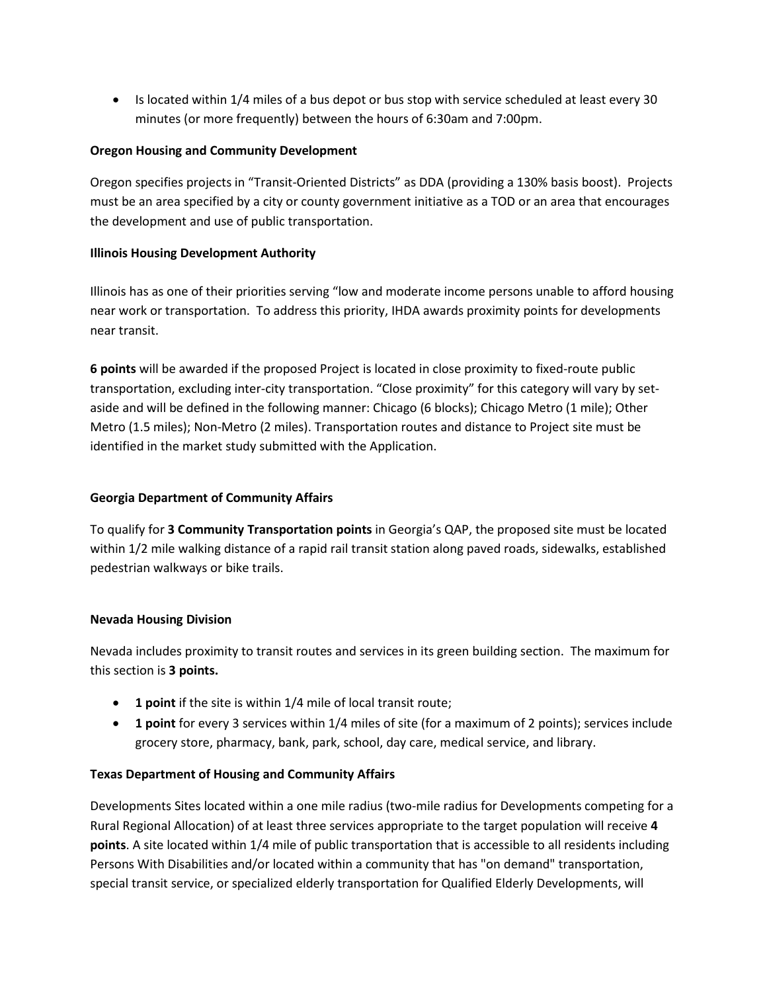• Is located within 1/4 miles of a bus depot or bus stop with service scheduled at least every 30 minutes (or more frequently) between the hours of 6:30am and 7:00pm.

### **Oregon Housing and Community Development**

Oregon specifies projects in "Transit-Oriented Districts" as DDA (providing a 130% basis boost). Projects must be an area specified by a city or county government initiative as a TOD or an area that encourages the development and use of public transportation.

### **Illinois Housing Development Authority**

Illinois has as one of their priorities serving "low and moderate income persons unable to afford housing near work or transportation. To address this priority, IHDA awards proximity points for developments near transit.

**6 points** will be awarded if the proposed Project is located in close proximity to fixed-route public transportation, excluding inter-city transportation. "Close proximity" for this category will vary by setaside and will be defined in the following manner: Chicago (6 blocks); Chicago Metro (1 mile); Other Metro (1.5 miles); Non-Metro (2 miles). Transportation routes and distance to Project site must be identified in the market study submitted with the Application.

## **Georgia Department of Community Affairs**

To qualify for **3 Community Transportation points** in Georgia's QAP, the proposed site must be located within 1/2 mile walking distance of a rapid rail transit station along paved roads, sidewalks, established pedestrian walkways or bike trails.

#### **Nevada Housing Division**

Nevada includes proximity to transit routes and services in its green building section. The maximum for this section is **3 points.**

- **1 point** if the site is within 1/4 mile of local transit route;
- **1 point** for every 3 services within 1/4 miles of site (for a maximum of 2 points); services include grocery store, pharmacy, bank, park, school, day care, medical service, and library.

## **Texas Department of Housing and Community Affairs**

Developments Sites located within a one mile radius (two-mile radius for Developments competing for a Rural Regional Allocation) of at least three services appropriate to the target population will receive **4 points**. A site located within 1/4 mile of public transportation that is accessible to all residents including Persons With Disabilities and/or located within a community that has "on demand" transportation, special transit service, or specialized elderly transportation for Qualified Elderly Developments, will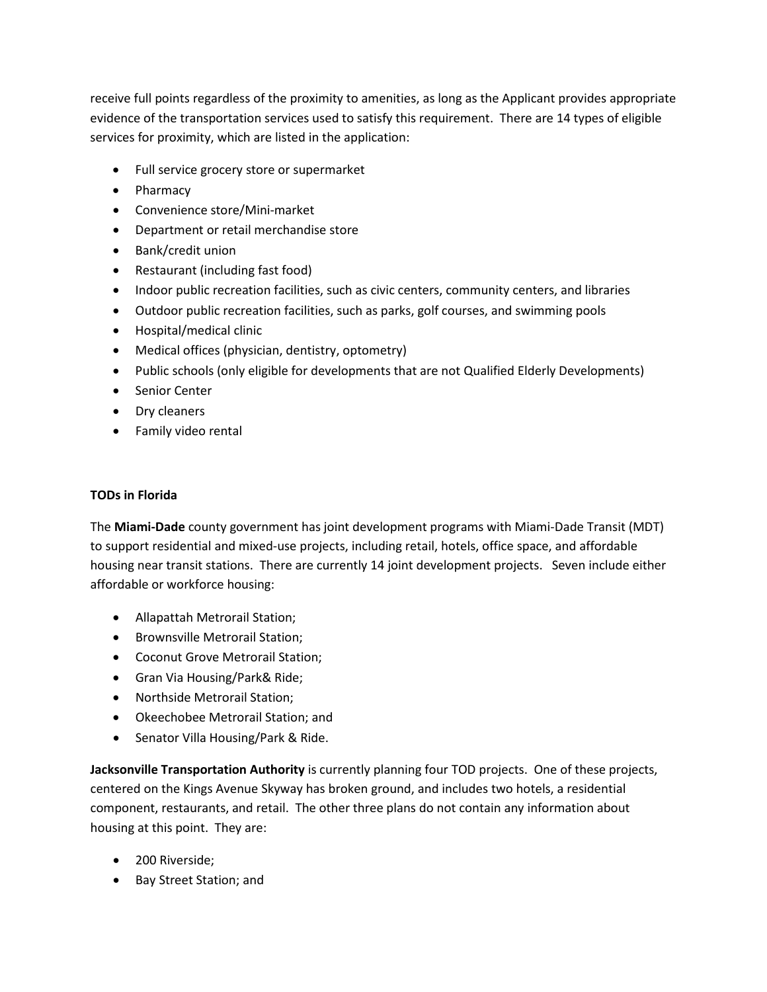receive full points regardless of the proximity to amenities, as long as the Applicant provides appropriate evidence of the transportation services used to satisfy this requirement. There are 14 types of eligible services for proximity, which are listed in the application:

- Full service grocery store or supermarket
- Pharmacy
- Convenience store/Mini-market
- Department or retail merchandise store
- Bank/credit union
- Restaurant (including fast food)
- Indoor public recreation facilities, such as civic centers, community centers, and libraries
- Outdoor public recreation facilities, such as parks, golf courses, and swimming pools
- Hospital/medical clinic
- Medical offices (physician, dentistry, optometry)
- Public schools (only eligible for developments that are not Qualified Elderly Developments)
- Senior Center
- Dry cleaners
- Family video rental

### **TODs in Florida**

The **Miami-Dade** county government has joint development programs with Miami-Dade Transit (MDT) to support residential and mixed-use projects, including retail, hotels, office space, and affordable housing near transit stations. There are currently 14 joint development projects. Seven include either affordable or workforce housing:

- Allapattah Metrorail Station;
- Brownsville Metrorail Station;
- Coconut Grove Metrorail Station;
- Gran Via Housing/Park& Ride;
- Northside Metrorail Station;
- Okeechobee Metrorail Station; and
- Senator Villa Housing/Park & Ride.

**Jacksonville Transportation Authority** is currently planning four TOD projects. One of these projects, centered on the Kings Avenue Skyway has broken ground, and includes two hotels, a residential component, restaurants, and retail. The other three plans do not contain any information about housing at this point. They are:

- 200 Riverside;
- Bay Street Station; and